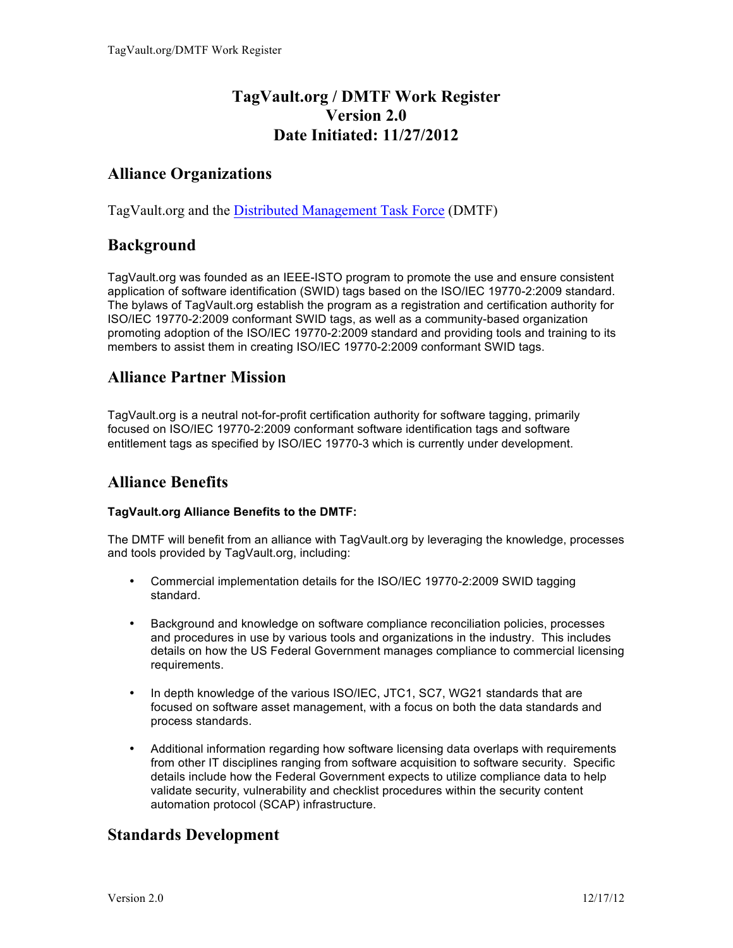# **TagVault.org / DMTF Work Register Version 2.0 Date Initiated: 11/27/2012**

## **Alliance Organizations**

TagVault.org and the Distributed Management Task Force (DMTF)

## **Background**

TagVault.org was founded as an IEEE-ISTO program to promote the use and ensure consistent application of software identification (SWID) tags based on the ISO/IEC 19770-2:2009 standard. The bylaws of TagVault.org establish the program as a registration and certification authority for ISO/IEC 19770-2:2009 conformant SWID tags, as well as a community-based organization promoting adoption of the ISO/IEC 19770-2:2009 standard and providing tools and training to its members to assist them in creating ISO/IEC 19770-2:2009 conformant SWID tags.

## **Alliance Partner Mission**

TagVault.org is a neutral not-for-profit certification authority for software tagging, primarily focused on ISO/IEC 19770-2:2009 conformant software identification tags and software entitlement tags as specified by ISO/IEC 19770-3 which is currently under development.

# **Alliance Benefits**

#### **TagVault.org Alliance Benefits to the DMTF:**

The DMTF will benefit from an alliance with TagVault.org by leveraging the knowledge, processes and tools provided by TagVault.org, including:

- Commercial implementation details for the ISO/IEC 19770-2:2009 SWID tagging standard.
- Background and knowledge on software compliance reconciliation policies, processes and procedures in use by various tools and organizations in the industry. This includes details on how the US Federal Government manages compliance to commercial licensing requirements.
- In depth knowledge of the various ISO/IEC, JTC1, SC7, WG21 standards that are focused on software asset management, with a focus on both the data standards and process standards.
- Additional information regarding how software licensing data overlaps with requirements from other IT disciplines ranging from software acquisition to software security. Specific details include how the Federal Government expects to utilize compliance data to help validate security, vulnerability and checklist procedures within the security content automation protocol (SCAP) infrastructure.

# **Standards Development**